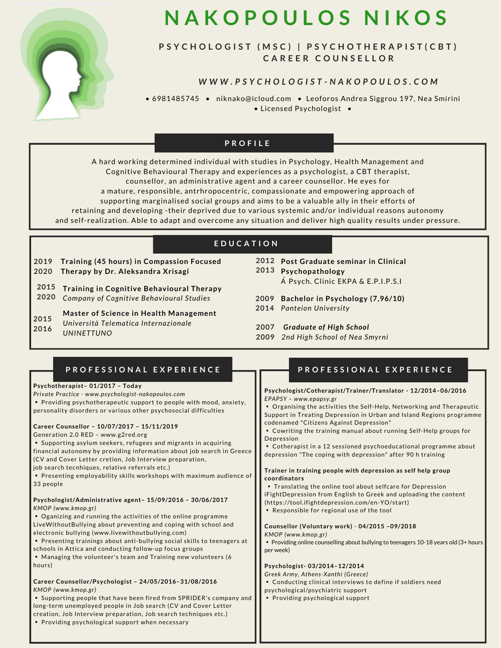

# **N A K O P O U L O S N I K O S**

## PSYCHOLOGIST (MSC) | PSYCHOTHERAPIST(CBT) **C A R E E R C O U N S E L L O R**

### WWW.PSYCHOLOGIST-NAKOPOULOS.COM

• 6981485745 • niknako@icloud.com • Leoforos Andrea Siggrou 197, Nea Smirini • Licensed Psychologist •

## **P R O F I L E**

A hard working determined individual with studies in Psychology, Health Management and Cognitive Behavioural Therapy and experiences as a psychologist, a CBT therapist, counsellor, an administrative agent and a career counsellor. He eyes for a mature, responsible, antrhropocentric, compassionate and empowering approach of supporting marginalised social groups and aims to be a valuable ally in their efforts of retaining and developing -their deprived due to various systemic and/or individual reasons autonomy and self-realization. Able to adapt and overcome any situation and deliver high quality results under pressure.

## **Ε Κ Π Α Ι Δ Ε Υ Σ Η E D U C A T I O N**

**Training (45 hours) in Compassion Focused Therapy by Dr. Aleksandra Xrisagi 2019 2020**

**2015 2020 Training in Cognitive Behavioural Therapy** *Company of Cognitive Behavioural Studies*

**Master of Science in Health Management** *Università Telematica Internazionale UNINETTUNO* **2015 2016**

- **Post Graduate seminar in Clinical 2012 Psychopathology 2013** Α΄ Psych. Clinic ΕΚPΑ & E.P.I.P.S.I
- **Bachelor in Psychology (7,96/10) 2009**
- *Panteion University* **2014**
- **2007** *Graduate of High School*
- **2009** *2nd High School of Nea Smyrni*

| PROFESSIONAL EXPERIENCE<br>Psychotherapist-01/2017 - Today<br>Private Practice - www.psychologist-nakopoulos.com<br>• Providing psychotherapeutic support to people with mood, anxiety,<br>personality disorders or various other psychosocial difficulties<br>Career Counsellor - 10/07/2017 - 15/11/2019<br>Generation 2.0 RED - www.g2red.org<br>• Supporting asylum seekers, refugees and migrants in acquiring<br>financial autonomy by providing information about job search in Greece<br>(CV and Cover Letter cretion, Job Interview preparation,<br>job search tecnhiques, relative referrals etc.)<br>• Presenting employability skills workshops with maximum audience of<br>33 people<br>Psychologist/Administrative agent-15/09/2016 - 30/06/2017<br>KMOP (www.kmop.gr)<br>• Oganizing and running the activities of the online programme<br>Live Without Bullying about preventing and coping with school and<br>electronic bullying (www.livewithoutbullying.com)<br>• Presenting trainings about anti-bullying social skills to teenagers at<br>schools in Attica and conducting follow-up focus groups<br>• Managing the volunteer's team and Training new volunteers (6<br>hours)<br>Career Counsellor/Psychologist - 24/05/2016-31/08/2016<br>KMOP (www.kmop.gr) | PROFESSIONAL EXPERIENCE<br>Psychologist/Cotherapist/Trainer/Translator - 12/2014-06/2016<br>EPAPSY - www.epapsy.gr<br>• Organising the activities the Self-Help, Networking and Therapeutic<br>Support in Treating Depression in Urban and Island Regions programme<br>codenamed "Citizens Against Depression"<br>• Cowriting the training manual about running Self-Help groups for<br>Depression<br>• Cotherapist in a 12 sessioned psychoeducational programme about<br>depression "The coping with depression" after 90 h training<br>Trainer in training people with depression as self help group<br>coordinators<br>. Translating the online tool about selfcare for Depression<br>iFightDepression from English to Greek and uploading the content<br>(https://tool.ifightdepression.com/en-YO/start)<br>. Responsible for regional use of the tool<br>Counsellor (Voluntary work) - 04/2015 -09/2018<br>KMOP (www.kmop.gr)<br>• Providing online counselling about bullying to teenagers 10-18 years old (3+ hours<br>per week)<br>Psychologist-03/2014-12/2014<br>Greek Army, Athens-Xanthi (Greece)<br>• Conducting clinical interviews to define if soldiers need<br>psychological/psychiatric support |
|-------------------------------------------------------------------------------------------------------------------------------------------------------------------------------------------------------------------------------------------------------------------------------------------------------------------------------------------------------------------------------------------------------------------------------------------------------------------------------------------------------------------------------------------------------------------------------------------------------------------------------------------------------------------------------------------------------------------------------------------------------------------------------------------------------------------------------------------------------------------------------------------------------------------------------------------------------------------------------------------------------------------------------------------------------------------------------------------------------------------------------------------------------------------------------------------------------------------------------------------------------------------------------------|--------------------------------------------------------------------------------------------------------------------------------------------------------------------------------------------------------------------------------------------------------------------------------------------------------------------------------------------------------------------------------------------------------------------------------------------------------------------------------------------------------------------------------------------------------------------------------------------------------------------------------------------------------------------------------------------------------------------------------------------------------------------------------------------------------------------------------------------------------------------------------------------------------------------------------------------------------------------------------------------------------------------------------------------------------------------------------------------------------------------------------------------------------------------------------------------------------------------|
| • Supporting people that have been fired from SPRIDER's company and<br>long-term unemployed people in Job search (CV and Cover Letter<br>creation, Job Interview preparation, Job search techniques etc.)<br>• Providing psychological support when necessary                                                                                                                                                                                                                                                                                                                                                                                                                                                                                                                                                                                                                                                                                                                                                                                                                                                                                                                                                                                                                       | • Providing psychological support                                                                                                                                                                                                                                                                                                                                                                                                                                                                                                                                                                                                                                                                                                                                                                                                                                                                                                                                                                                                                                                                                                                                                                                  |